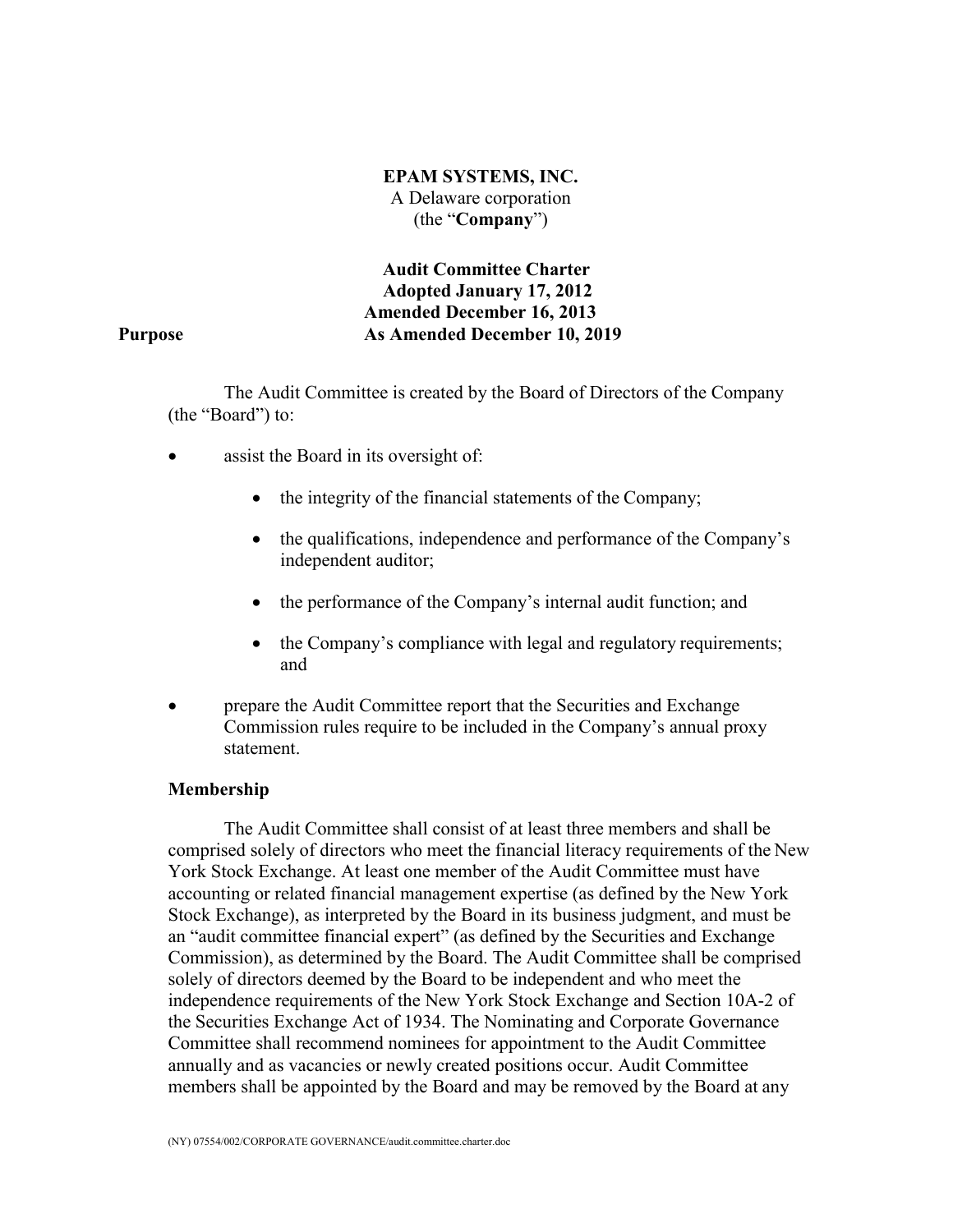**EPAM SYSTEMS, INC.** A Delaware corporation (the "**Company**")

**Audit Committee Charter Adopted January 17, 2012 Amended December 16, 2013 As Amended December 10, 2019**

#### **Purpose**

The Audit Committee is created by the Board of Directors of the Company (the "Board") to:

- assist the Board in its oversight of:
	- the integrity of the financial statements of the Company;
	- the qualifications, independence and performance of the Company's independent auditor;
	- the performance of the Company's internal audit function; and
	- the Company's compliance with legal and regulatory requirements; and
- prepare the Audit Committee report that the Securities and Exchange Commission rules require to be included in the Company's annual proxy statement.

#### **Membership**

The Audit Committee shall consist of at least three members and shall be comprised solely of directors who meet the financial literacy requirements of the New York Stock Exchange. At least one member of the Audit Committee must have accounting or related financial management expertise (as defined by the New York Stock Exchange), as interpreted by the Board in its business judgment, and must be an "audit committee financial expert" (as defined by the Securities and Exchange Commission), as determined by the Board. The Audit Committee shall be comprised solely of directors deemed by the Board to be independent and who meet the independence requirements of the New York Stock Exchange and Section 10A-2 of the Securities Exchange Act of 1934. The Nominating and Corporate Governance Committee shall recommend nominees for appointment to the Audit Committee annually and as vacancies or newly created positions occur. Audit Committee members shall be appointed by the Board and may be removed by the Board at any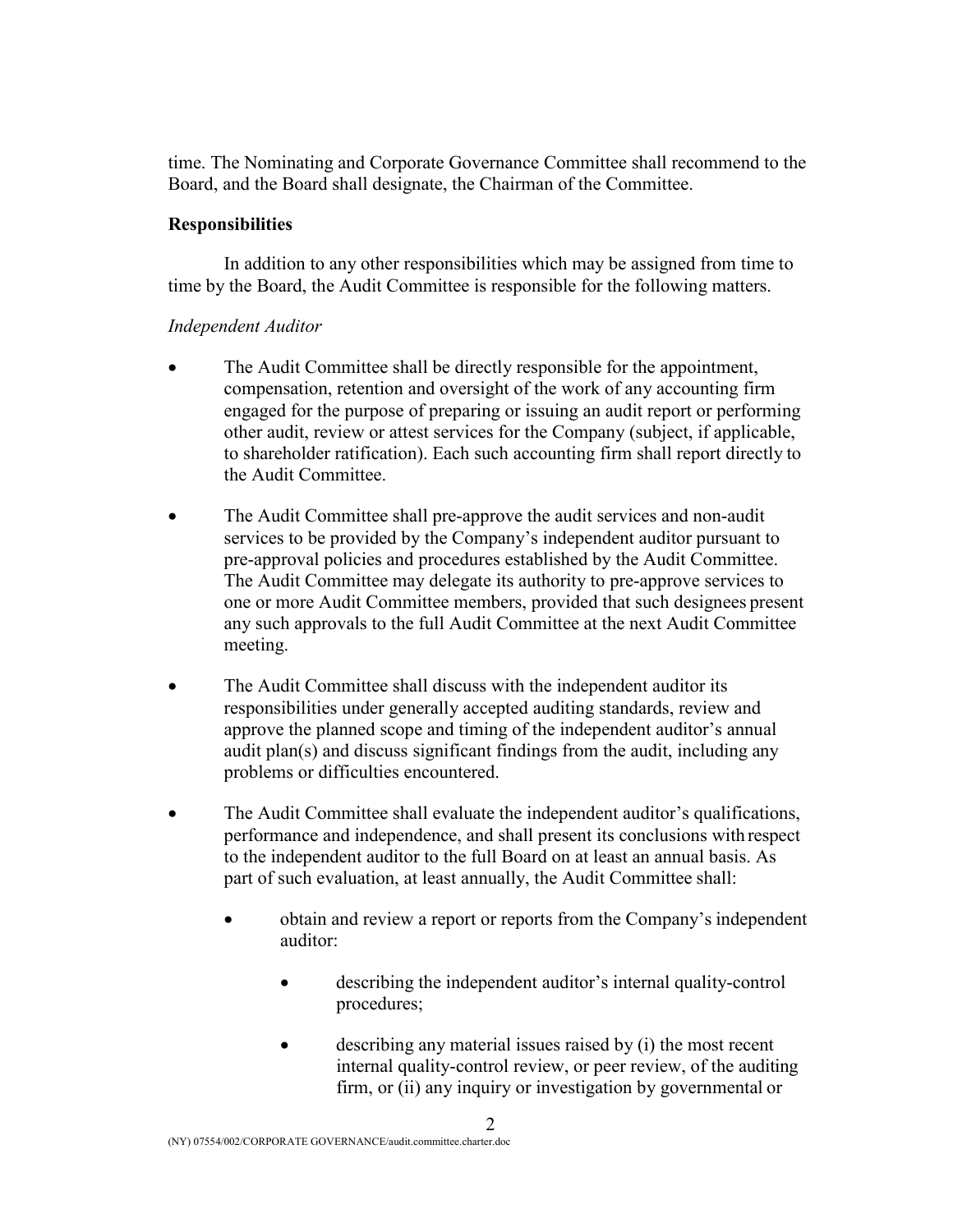time. The Nominating and Corporate Governance Committee shall recommend to the Board, and the Board shall designate, the Chairman of the Committee.

### **Responsibilities**

In addition to any other responsibilities which may be assigned from time to time by the Board, the Audit Committee is responsible for the following matters.

## *Independent Auditor*

- The Audit Committee shall be directly responsible for the appointment, compensation, retention and oversight of the work of any accounting firm engaged for the purpose of preparing or issuing an audit report or performing other audit, review or attest services for the Company (subject, if applicable, to shareholder ratification). Each such accounting firm shall report directly to the Audit Committee.
- The Audit Committee shall pre-approve the audit services and non-audit services to be provided by the Company's independent auditor pursuant to pre-approval policies and procedures established by the Audit Committee. The Audit Committee may delegate its authority to pre-approve services to one or more Audit Committee members, provided that such designees present any such approvals to the full Audit Committee at the next Audit Committee meeting.
- The Audit Committee shall discuss with the independent auditor its responsibilities under generally accepted auditing standards, review and approve the planned scope and timing of the independent auditor's annual audit plan(s) and discuss significant findings from the audit, including any problems or difficulties encountered.
- The Audit Committee shall evaluate the independent auditor's qualifications, performance and independence, and shall present its conclusions with respect to the independent auditor to the full Board on at least an annual basis. As part of such evaluation, at least annually, the Audit Committee shall:
	- obtain and review a report or reports from the Company's independent auditor:
		- describing the independent auditor's internal quality-control procedures;
		- describing any material issues raised by (i) the most recent internal quality-control review, or peer review, of the auditing firm, or (ii) any inquiry or investigation by governmental or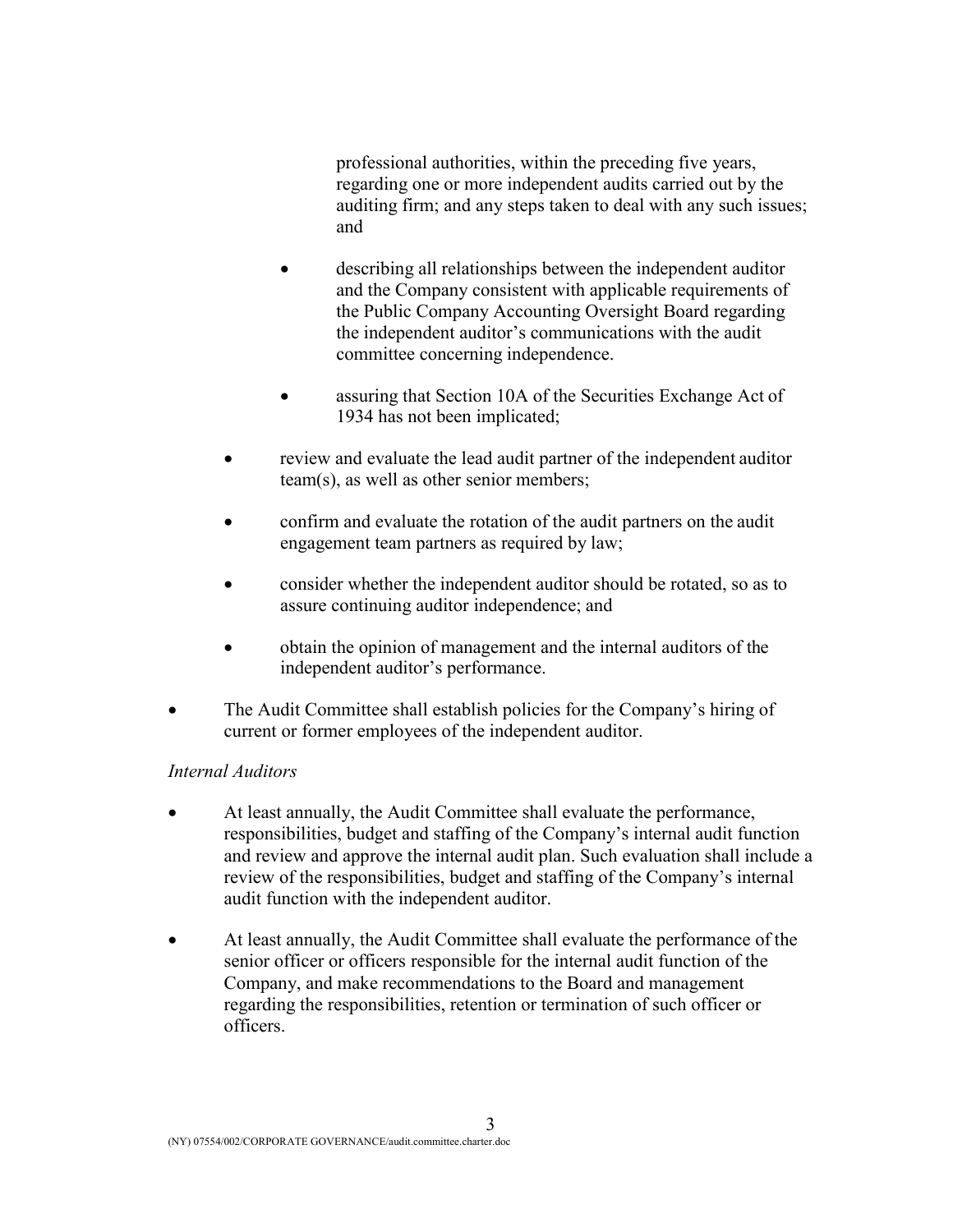professional authorities, within the preceding five years, regarding one or more independent audits carried out by the auditing firm; and any steps taken to deal with any such issues; and

- describing all relationships between the independent auditor and the Company consistent with applicable requirements of the Public Company Accounting Oversight Board regarding the independent auditor's communications with the audit committee concerning independence.
- assuring that Section 10A of the Securities Exchange Act of 1934 has not been implicated;
- review and evaluate the lead audit partner of the independent auditor team(s), as well as other senior members;
- confirm and evaluate the rotation of the audit partners on the audit engagement team partners as required by law;
- consider whether the independent auditor should be rotated, so as to assure continuing auditor independence; and
- obtain the opinion of management and the internal auditors of the independent auditor's performance.
- The Audit Committee shall establish policies for the Company's hiring of current or former employees of the independent auditor.

## *Internal Auditors*

- At least annually, the Audit Committee shall evaluate the performance, responsibilities, budget and staffing of the Company's internal audit function and review and approve the internal audit plan. Such evaluation shall include a review of the responsibilities, budget and staffing of the Company's internal audit function with the independent auditor.
- At least annually, the Audit Committee shall evaluate the performance of the senior officer or officers responsible for the internal audit function of the Company, and make recommendations to the Board and management regarding the responsibilities, retention or termination of such officer or officers.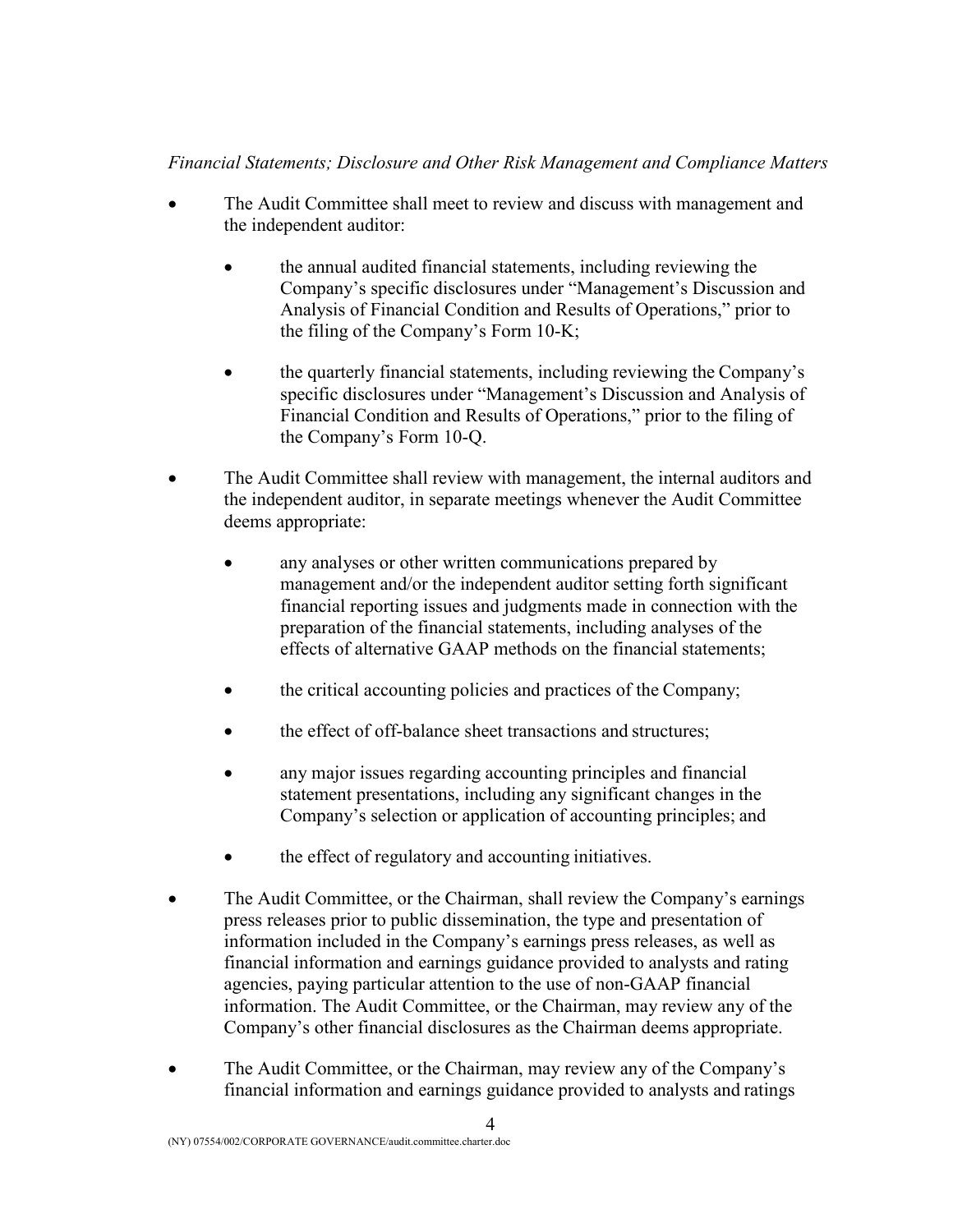## *Financial Statements; Disclosure and Other Risk Management and Compliance Matters*

- The Audit Committee shall meet to review and discuss with management and the independent auditor:
	- the annual audited financial statements, including reviewing the Company's specific disclosures under "Management's Discussion and Analysis of Financial Condition and Results of Operations," prior to the filing of the Company's Form 10-K;
	- the quarterly financial statements, including reviewing the Company's specific disclosures under "Management's Discussion and Analysis of Financial Condition and Results of Operations," prior to the filing of the Company's Form 10-Q.
- The Audit Committee shall review with management, the internal auditors and the independent auditor, in separate meetings whenever the Audit Committee deems appropriate:
	- any analyses or other written communications prepared by management and/or the independent auditor setting forth significant financial reporting issues and judgments made in connection with the preparation of the financial statements, including analyses of the effects of alternative GAAP methods on the financial statements;
	- the critical accounting policies and practices of the Company;
	- the effect of off-balance sheet transactions and structures;
	- any major issues regarding accounting principles and financial statement presentations, including any significant changes in the Company's selection or application of accounting principles; and
	- the effect of regulatory and accounting initiatives.
- The Audit Committee, or the Chairman, shall review the Company's earnings press releases prior to public dissemination, the type and presentation of information included in the Company's earnings press releases, as well as financial information and earnings guidance provided to analysts and rating agencies, paying particular attention to the use of non-GAAP financial information. The Audit Committee, or the Chairman, may review any of the Company's other financial disclosures as the Chairman deems appropriate.
- The Audit Committee, or the Chairman, may review any of the Company's financial information and earnings guidance provided to analysts and ratings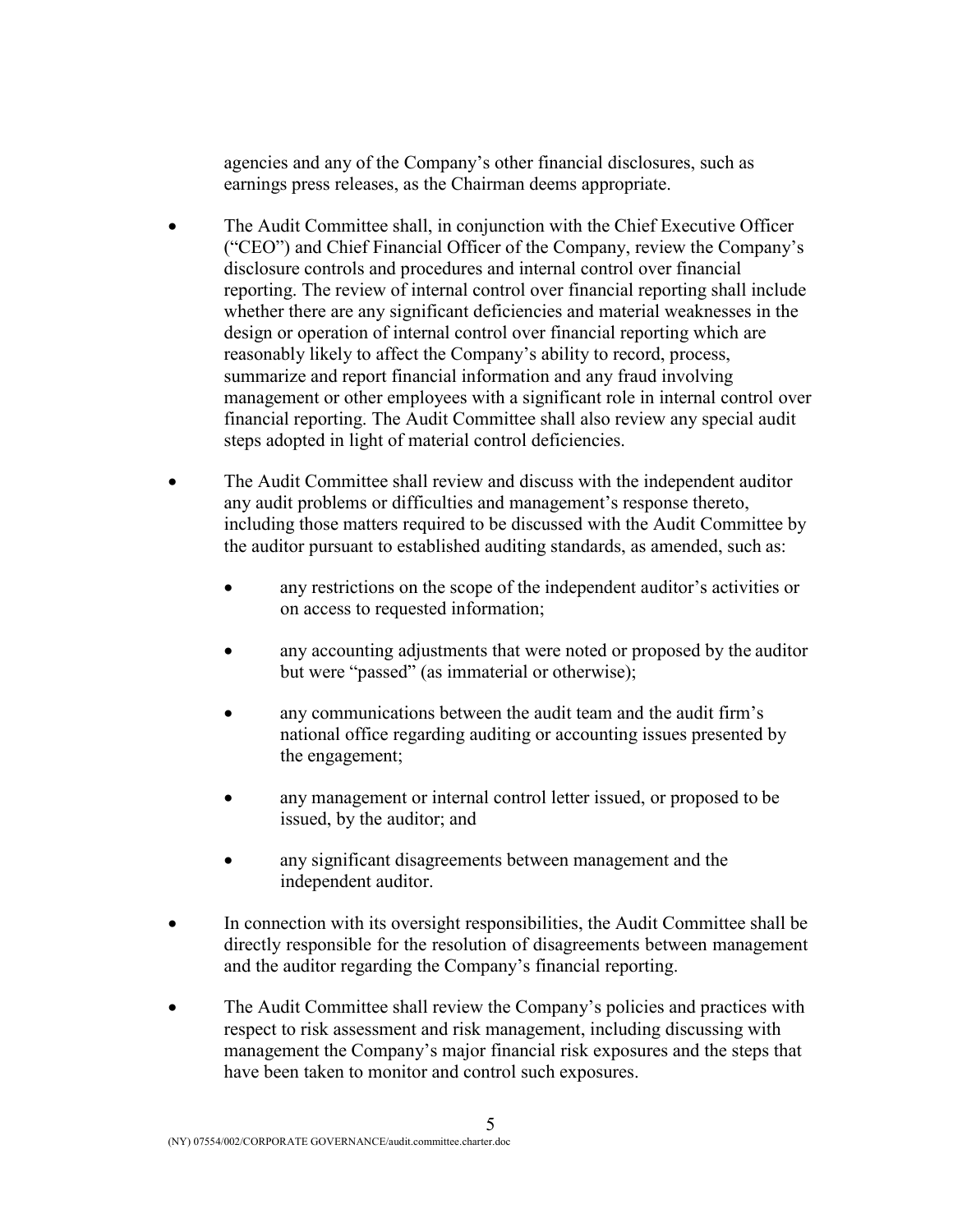agencies and any of the Company's other financial disclosures, such as earnings press releases, as the Chairman deems appropriate.

- The Audit Committee shall, in conjunction with the Chief Executive Officer ("CEO") and Chief Financial Officer of the Company, review the Company's disclosure controls and procedures and internal control over financial reporting. The review of internal control over financial reporting shall include whether there are any significant deficiencies and material weaknesses in the design or operation of internal control over financial reporting which are reasonably likely to affect the Company's ability to record, process, summarize and report financial information and any fraud involving management or other employees with a significant role in internal control over financial reporting. The Audit Committee shall also review any special audit steps adopted in light of material control deficiencies.
- The Audit Committee shall review and discuss with the independent auditor any audit problems or difficulties and management's response thereto, including those matters required to be discussed with the Audit Committee by the auditor pursuant to established auditing standards, as amended, such as:
	- any restrictions on the scope of the independent auditor's activities or on access to requested information;
	- any accounting adjustments that were noted or proposed by the auditor but were "passed" (as immaterial or otherwise);
	- any communications between the audit team and the audit firm's national office regarding auditing or accounting issues presented by the engagement;
	- any management or internal control letter issued, or proposed to be issued, by the auditor; and
	- any significant disagreements between management and the independent auditor.
- In connection with its oversight responsibilities, the Audit Committee shall be directly responsible for the resolution of disagreements between management and the auditor regarding the Company's financial reporting.
- The Audit Committee shall review the Company's policies and practices with respect to risk assessment and risk management, including discussing with management the Company's major financial risk exposures and the steps that have been taken to monitor and control such exposures.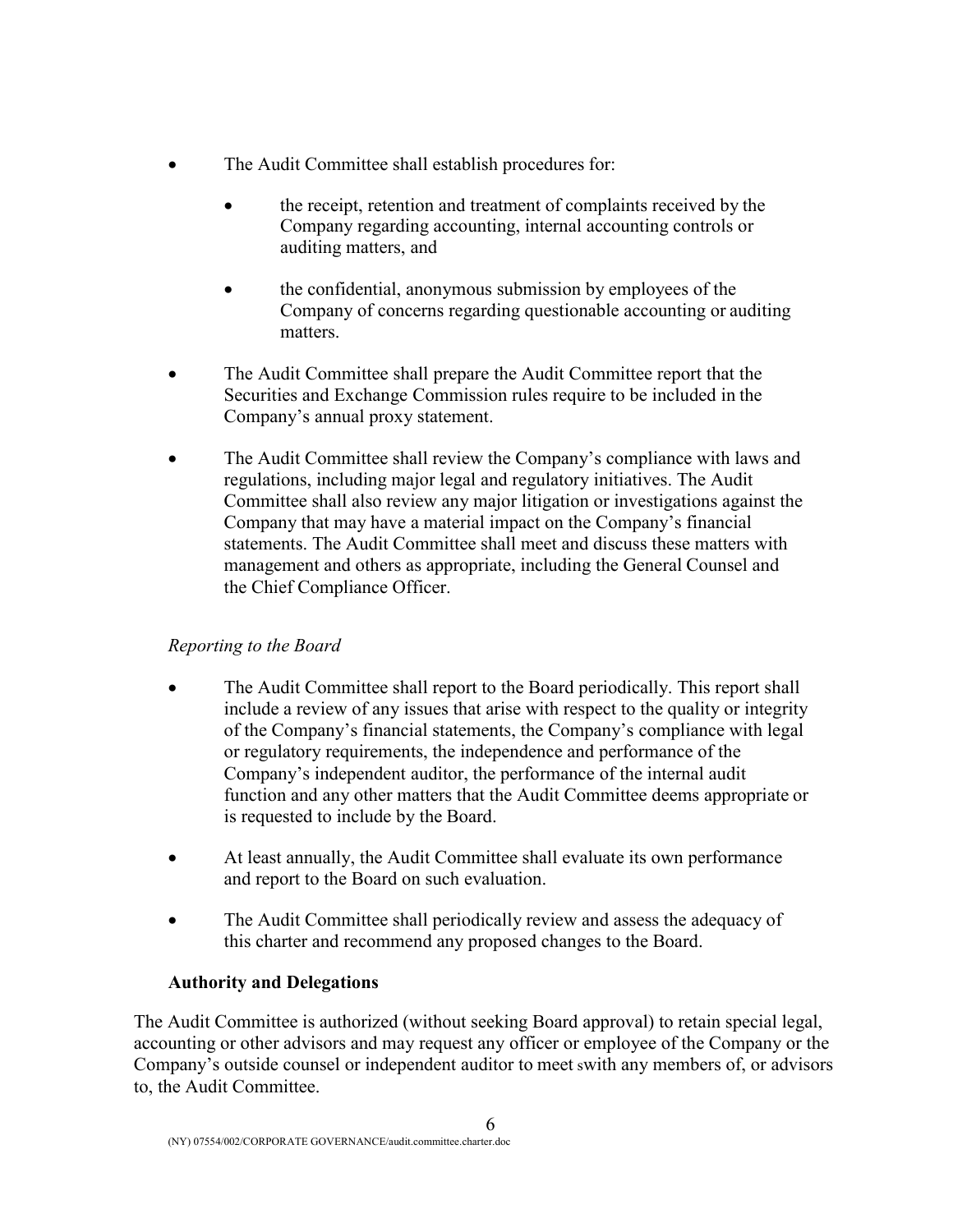- The Audit Committee shall establish procedures for:
	- the receipt, retention and treatment of complaints received by the Company regarding accounting, internal accounting controls or auditing matters, and
	- the confidential, anonymous submission by employees of the Company of concerns regarding questionable accounting or auditing matters.
- The Audit Committee shall prepare the Audit Committee report that the Securities and Exchange Commission rules require to be included in the Company's annual proxy statement.
- The Audit Committee shall review the Company's compliance with laws and regulations, including major legal and regulatory initiatives. The Audit Committee shall also review any major litigation or investigations against the Company that may have a material impact on the Company's financial statements. The Audit Committee shall meet and discuss these matters with management and others as appropriate, including the General Counsel and the Chief Compliance Officer.

# *Reporting to the Board*

- The Audit Committee shall report to the Board periodically. This report shall include a review of any issues that arise with respect to the quality or integrity of the Company's financial statements, the Company's compliance with legal or regulatory requirements, the independence and performance of the Company's independent auditor, the performance of the internal audit function and any other matters that the Audit Committee deems appropriate or is requested to include by the Board.
- At least annually, the Audit Committee shall evaluate its own performance and report to the Board on such evaluation.
- The Audit Committee shall periodically review and assess the adequacy of this charter and recommend any proposed changes to the Board.

# **Authority and Delegations**

The Audit Committee is authorized (without seeking Board approval) to retain special legal, accounting or other advisors and may request any officer or employee of the Company or the Company's outside counsel or independent auditor to meet swith any members of, or advisors to, the Audit Committee.